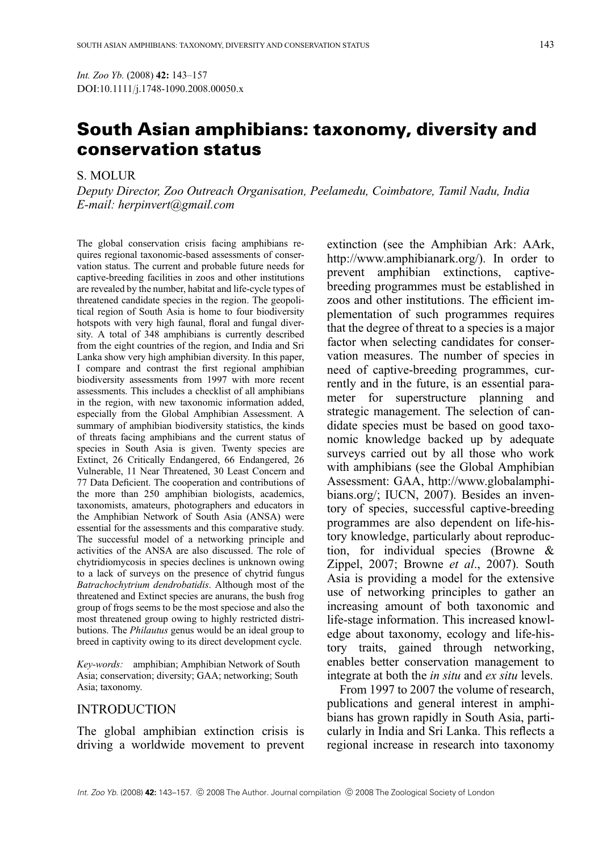Int. Zoo Yb. (2008) 42: 143–157 DOI:10.1111/j.1748-1090.2008.00050.x

# South Asian amphibians: taxonomy, diversity and conservation status

### S. MOLUR

Deputy Director, Zoo Outreach Organisation, Peelamedu, Coimbatore, Tamil Nadu, India E-mail: herpinvert@gmail.com

The global conservation crisis facing amphibians requires regional taxonomic-based assessments of conservation status. The current and probable future needs for captive-breeding facilities in zoos and other institutions are revealed by the number, habitat and life-cycle types of threatened candidate species in the region. The geopolitical region of South Asia is home to four biodiversity hotspots with very high faunal, floral and fungal diversity. A total of 348 amphibians is currently described from the eight countries of the region, and India and Sri Lanka show very high amphibian diversity. In this paper, I compare and contrast the first regional amphibian biodiversity assessments from 1997 with more recent assessments. This includes a checklist of all amphibians in the region, with new taxonomic information added, especially from the Global Amphibian Assessment. A summary of amphibian biodiversity statistics, the kinds of threats facing amphibians and the current status of species in South Asia is given. Twenty species are Extinct, 26 Critically Endangered, 66 Endangered, 26 Vulnerable, 11 Near Threatened, 30 Least Concern and 77 Data Deficient. The cooperation and contributions of the more than 250 amphibian biologists, academics, taxonomists, amateurs, photographers and educators in the Amphibian Network of South Asia (ANSA) were essential for the assessments and this comparative study. The successful model of a networking principle and activities of the ANSA are also discussed. The role of chytridiomycosis in species declines is unknown owing to a lack of surveys on the presence of chytrid fungus Batrachochytrium dendrobatidis. Although most of the threatened and Extinct species are anurans, the bush frog group of frogs seems to be the most speciose and also the most threatened group owing to highly restricted distributions. The Philautus genus would be an ideal group to breed in captivity owing to its direct development cycle.

Key-words: amphibian; Amphibian Network of South Asia; conservation; diversity; GAA; networking; South Asia; taxonomy.

## INTRODUCTION

The global amphibian extinction crisis is driving a worldwide movement to prevent extinction (see the Amphibian Ark: AArk, http://www.amphibianark.org/). In order to prevent amphibian extinctions, captivebreeding programmes must be established in zoos and other institutions. The efficient implementation of such programmes requires that the degree of threat to a species is a major factor when selecting candidates for conservation measures. The number of species in need of captive-breeding programmes, currently and in the future, is an essential parameter for superstructure planning and strategic management. The selection of candidate species must be based on good taxonomic knowledge backed up by adequate surveys carried out by all those who work with amphibians (see the Global Amphibian Assessment: GAA, http://www.globalamphibians.org/; IUCN, 2007). Besides an inventory of species, successful captive-breeding programmes are also dependent on life-history knowledge, particularly about reproduction, for individual species (Browne & Zippel, 2007; Browne et al., 2007). South Asia is providing a model for the extensive use of networking principles to gather an increasing amount of both taxonomic and life-stage information. This increased knowledge about taxonomy, ecology and life-history traits, gained through networking, enables better conservation management to integrate at both the in situ and ex situ levels.

From 1997 to 2007 the volume of research, publications and general interest in amphibians has grown rapidly in South Asia, particularly in India and Sri Lanka. This reflects a regional increase in research into taxonomy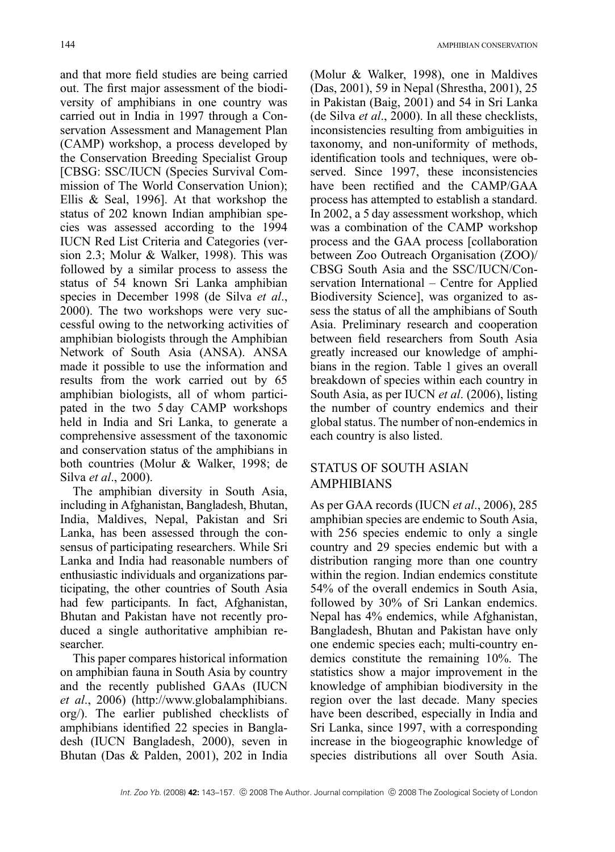and that more field studies are being carried out. The first major assessment of the biodiversity of amphibians in one country was carried out in India in 1997 through a Conservation Assessment and Management Plan (CAMP) workshop, a process developed by the Conservation Breeding Specialist Group [CBSG: SSC/IUCN (Species Survival Commission of The World Conservation Union); Ellis & Seal, 1996]. At that workshop the status of 202 known Indian amphibian species was assessed according to the 1994 IUCN Red List Criteria and Categories (version 2.3; Molur & Walker, 1998). This was followed by a similar process to assess the status of 54 known Sri Lanka amphibian species in December 1998 (de Silva et al., 2000). The two workshops were very successful owing to the networking activities of amphibian biologists through the Amphibian Network of South Asia (ANSA). ANSA made it possible to use the information and results from the work carried out by 65 amphibian biologists, all of whom participated in the two 5 day CAMP workshops held in India and Sri Lanka, to generate a comprehensive assessment of the taxonomic and conservation status of the amphibians in both countries (Molur & Walker, 1998; de Silva et al., 2000).

The amphibian diversity in South Asia, including in Afghanistan, Bangladesh, Bhutan, India, Maldives, Nepal, Pakistan and Sri Lanka, has been assessed through the consensus of participating researchers. While Sri Lanka and India had reasonable numbers of enthusiastic individuals and organizations participating, the other countries of South Asia had few participants. In fact, Afghanistan, Bhutan and Pakistan have not recently produced a single authoritative amphibian researcher.

This paper compares historical information on amphibian fauna in South Asia by country and the recently published GAAs (IUCN et al., 2006) (http://www.globalamphibians. org/). The earlier published checklists of amphibians identified 22 species in Bangladesh (IUCN Bangladesh, 2000), seven in Bhutan (Das & Palden, 2001), 202 in India

(Molur & Walker, 1998), one in Maldives (Das, 2001), 59 in Nepal (Shrestha, 2001), 25 in Pakistan (Baig, 2001) and 54 in Sri Lanka (de Silva et al., 2000). In all these checklists, inconsistencies resulting from ambiguities in taxonomy, and non-uniformity of methods, identification tools and techniques, were observed. Since 1997, these inconsistencies have been rectified and the CAMP/GAA process has attempted to establish a standard. In 2002, a 5 day assessment workshop, which was a combination of the CAMP workshop process and the GAA process [collaboration between Zoo Outreach Organisation (ZOO)/ CBSG South Asia and the SSC/IUCN/Conservation International – Centre for Applied Biodiversity Science], was organized to assess the status of all the amphibians of South Asia. Preliminary research and cooperation between field researchers from South Asia greatly increased our knowledge of amphibians in the region. Table 1 gives an overall breakdown of species within each country in South Asia, as per IUCN et al. (2006), listing the number of country endemics and their global status. The number of non-endemics in each country is also listed.

# STATUS OF SOUTH ASIAN AMPHIBIANS

As per GAA records (IUCN et al., 2006), 285 amphibian species are endemic to South Asia, with 256 species endemic to only a single country and 29 species endemic but with a distribution ranging more than one country within the region. Indian endemics constitute 54% of the overall endemics in South Asia, followed by 30% of Sri Lankan endemics. Nepal has 4% endemics, while Afghanistan, Bangladesh, Bhutan and Pakistan have only one endemic species each; multi-country endemics constitute the remaining 10%. The statistics show a major improvement in the knowledge of amphibian biodiversity in the region over the last decade. Many species have been described, especially in India and Sri Lanka, since 1997, with a corresponding increase in the biogeographic knowledge of species distributions all over South Asia.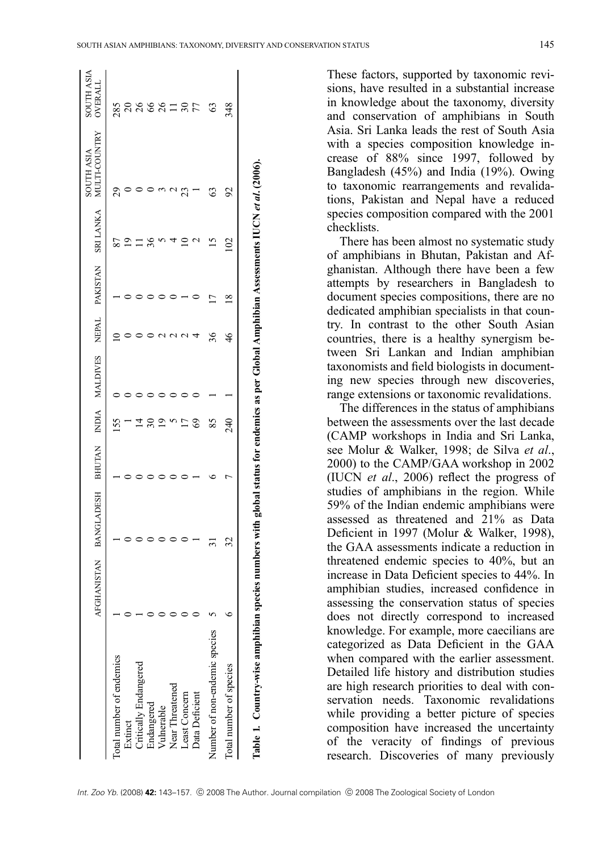|                                  | <b>AFGHANISTAN</b>                                                                                                      | <b>BANGLADESH</b> | <b>BHUTAN</b> | <b>NDIA</b> | <b>MALDIVES</b> | NEPAL | <b>PAKISTAN</b> | <b>SRILANKA</b> | MULTI-COUNTRY<br><b>AISA HILOSS</b> | <b>AISA HTUOS</b><br>JVERALL |
|----------------------------------|-------------------------------------------------------------------------------------------------------------------------|-------------------|---------------|-------------|-----------------|-------|-----------------|-----------------|-------------------------------------|------------------------------|
| Total number of endemics         |                                                                                                                         |                   |               |             |                 |       |                 |                 |                                     | 285                          |
|                                  |                                                                                                                         |                   |               |             |                 |       |                 |                 |                                     |                              |
| Extinct<br>Critically Endangered |                                                                                                                         |                   |               |             |                 |       |                 |                 |                                     |                              |
|                                  |                                                                                                                         |                   |               |             |                 |       |                 |                 |                                     |                              |
| Endangered<br>Vulnerable         |                                                                                                                         |                   |               |             |                 |       |                 |                 |                                     |                              |
| Near Threatened                  |                                                                                                                         |                   |               |             |                 |       |                 |                 |                                     |                              |
| Least Concern                    |                                                                                                                         |                   |               |             |                 |       |                 |                 |                                     | నె                           |
| Data Deficient                   |                                                                                                                         |                   |               | 69          |                 |       |                 |                 |                                     | Ę                            |
| Number of non-endemic species    |                                                                                                                         |                   |               | 85          |                 |       |                 |                 |                                     | ౪                            |
| Total number of species          |                                                                                                                         | 32                |               | 240         |                 | 46    | $\frac{8}{1}$   | Š               | 92                                  | 348                          |
| Table 1. Country-wise ampl       | bian species numbers with global status for endemics as per Global Amphibian Assessments IUCN $\alpha \, \mu$ 1. (2006) |                   |               |             |                 |       |                 |                 |                                     |                              |
|                                  |                                                                                                                         |                   |               |             |                 |       |                 |                 |                                     |                              |

These factors, supported by taxonomic revisions, have resulted in a substantial increase in knowledge about the taxonomy, diversity and conservation of amphibians in South Asia. Sri Lanka leads the rest of South Asia with a species composition knowledge increase of 88% since 1997, followed by Bangladesh (45%) and India (19%). Owing to taxonomic rearrangements and revalidations, Pakistan and Nepal have a reduced species composition compared with the 2001 checklists.

There has been almost no systematic study of amphibians in Bhutan, Pakistan and Afghanistan. Although there have been a few attempts by researchers in Bangladesh to document species compositions, there are no dedicated amphibian specialists in that country. In contrast to the other South Asian countries, there is a healthy synergism between Sri Lankan and Indian amphibian taxonomists and field biologists in documenting new species through new discoveries, range extensions or taxonomic revalidations.

The differences in the status of amphibians between the assessments over the last decade (CAMP workshops in India and Sri Lanka, see Molur & Walker, 1998; de Silva et al., 2000) to the CAMP/GAA workshop in 2002 (IUCN et al., 2006) reflect the progress of studies of amphibians in the region. While 59% of the Indian endemic amphibians were assessed as threatened and 21% as Data Deficient in 1997 (Molur & Walker, 1998), the GAA assessments indicate a reduction in threatened endemic species to 40%, but an increase in Data Deficient species to 44%. In amphibian studies, increased confidence in assessing the conservation status of species does not directly correspond to increased knowledge. For example, more caecilians are categorized as Data Deficient in the GAA when compared with the earlier assessment. Detailed life history and distribution studies are high research priorities to deal with conservation needs. Taxonomic revalidations while providing a better picture of species composition have increased the uncertainty of the veracity of findings of previous research. Discoveries of many previously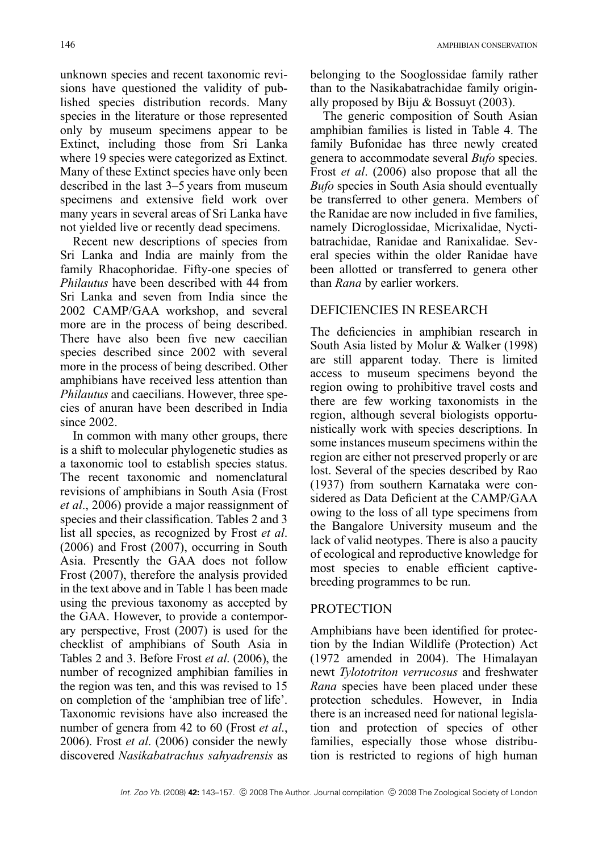unknown species and recent taxonomic revisions have questioned the validity of published species distribution records. Many species in the literature or those represented only by museum specimens appear to be Extinct, including those from Sri Lanka where 19 species were categorized as Extinct. Many of these Extinct species have only been described in the last 3–5 years from museum specimens and extensive field work over many years in several areas of Sri Lanka have not yielded live or recently dead specimens.

Recent new descriptions of species from Sri Lanka and India are mainly from the family Rhacophoridae. Fifty-one species of Philautus have been described with 44 from Sri Lanka and seven from India since the 2002 CAMP/GAA workshop, and several more are in the process of being described. There have also been five new caecilian species described since 2002 with several more in the process of being described. Other amphibians have received less attention than Philautus and caecilians. However, three species of anuran have been described in India since 2002.

In common with many other groups, there is a shift to molecular phylogenetic studies as a taxonomic tool to establish species status. The recent taxonomic and nomenclatural revisions of amphibians in South Asia (Frost et al., 2006) provide a major reassignment of species and their classification. Tables 2 and 3 list all species, as recognized by Frost et al. (2006) and Frost (2007), occurring in South Asia. Presently the GAA does not follow Frost (2007), therefore the analysis provided in the text above and in Table 1 has been made using the previous taxonomy as accepted by the GAA. However, to provide a contemporary perspective, Frost (2007) is used for the checklist of amphibians of South Asia in Tables 2 and 3. Before Frost et al. (2006), the number of recognized amphibian families in the region was ten, and this was revised to 15 on completion of the 'amphibian tree of life'. Taxonomic revisions have also increased the number of genera from 42 to 60 (Frost et al., 2006). Frost et al. (2006) consider the newly discovered Nasikabatrachus sahyadrensis as

belonging to the Sooglossidae family rather than to the Nasikabatrachidae family originally proposed by Biju & Bossuyt (2003).

The generic composition of South Asian amphibian families is listed in Table 4. The family Bufonidae has three newly created genera to accommodate several Bufo species. Frost et al. (2006) also propose that all the Bufo species in South Asia should eventually be transferred to other genera. Members of the Ranidae are now included in five families, namely Dicroglossidae, Micrixalidae, Nyctibatrachidae, Ranidae and Ranixalidae. Several species within the older Ranidae have been allotted or transferred to genera other than Rana by earlier workers.

## DEFICIENCIES IN RESEARCH

The deficiencies in amphibian research in South Asia listed by Molur & Walker (1998) are still apparent today. There is limited access to museum specimens beyond the region owing to prohibitive travel costs and there are few working taxonomists in the region, although several biologists opportunistically work with species descriptions. In some instances museum specimens within the region are either not preserved properly or are lost. Several of the species described by Rao (1937) from southern Karnataka were considered as Data Deficient at the CAMP/GAA owing to the loss of all type specimens from the Bangalore University museum and the lack of valid neotypes. There is also a paucity of ecological and reproductive knowledge for most species to enable efficient captivebreeding programmes to be run.

### PROTECTION

Amphibians have been identified for protection by the Indian Wildlife (Protection) Act (1972 amended in 2004). The Himalayan newt Tylototriton verrucosus and freshwater Rana species have been placed under these protection schedules. However, in India there is an increased need for national legislation and protection of species of other families, especially those whose distribution is restricted to regions of high human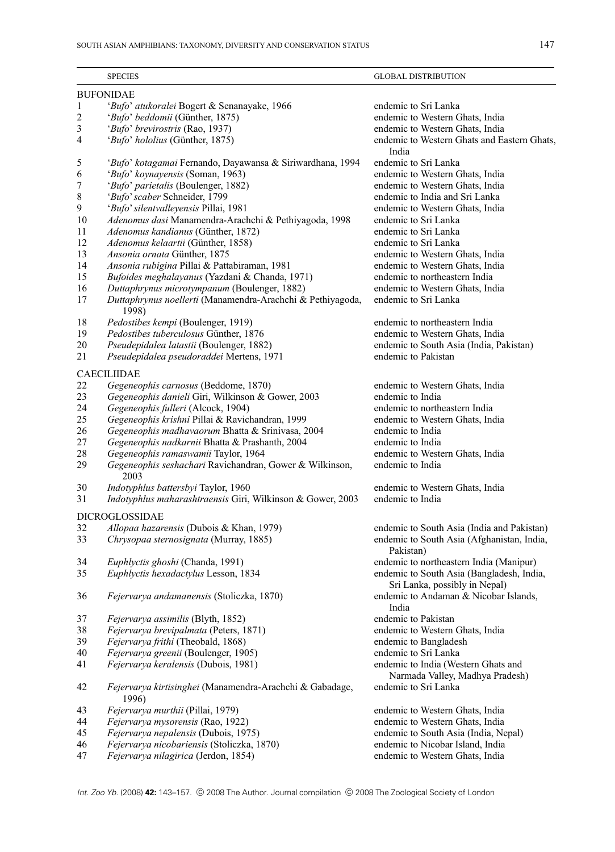|    | <b>SPECIES</b>                                                      | <b>GLOBAL DISTRIBUTION</b>                                                 |
|----|---------------------------------------------------------------------|----------------------------------------------------------------------------|
|    | <b>BUFONIDAE</b>                                                    |                                                                            |
| 1  | 'Bufo' atukoralei Bogert & Senanayake, 1966                         | endemic to Sri Lanka                                                       |
| 2  | 'Bufo' beddomii (Günther, 1875)                                     | endemic to Western Ghats, India                                            |
| 3  | 'Bufo' brevirostris (Rao, 1937)                                     | endemic to Western Ghats, India                                            |
| 4  | 'Bufo' hololius (Günther, 1875)                                     | endemic to Western Ghats and Eastern Ghats,                                |
|    |                                                                     | India                                                                      |
| 5  | 'Bufo' kotagamai Fernando, Dayawansa & Siriwardhana, 1994           | endemic to Sri Lanka                                                       |
| 6  | 'Bufo' koynayensis (Soman, 1963)                                    | endemic to Western Ghats, India                                            |
| 7  | 'Bufo' parietalis (Boulenger, 1882)                                 | endemic to Western Ghats, India                                            |
| 8  | 'Bufo' scaber Schneider, 1799                                       | endemic to India and Sri Lanka                                             |
| 9  | 'Bufo' silentvalleyensis Pillai, 1981                               | endemic to Western Ghats, India                                            |
| 10 | Adenomus dasi Manamendra-Arachchi & Pethiyagoda, 1998               | endemic to Sri Lanka                                                       |
| 11 | Adenomus kandianus (Günther, 1872)                                  | endemic to Sri Lanka                                                       |
| 12 | Adenomus kelaartii (Günther, 1858)                                  | endemic to Sri Lanka                                                       |
| 13 | Ansonia ornata Günther, 1875                                        | endemic to Western Ghats, India                                            |
| 14 | Ansonia rubigina Pillai & Pattabiraman, 1981                        | endemic to Western Ghats, India                                            |
| 15 | Bufoides meghalayanus (Yazdani & Chanda, 1971)                      | endemic to northeastern India                                              |
| 16 | Duttaphrynus microtympanum (Boulenger, 1882)                        | endemic to Western Ghats, India                                            |
| 17 | Duttaphrynus noellerti (Manamendra-Arachchi & Pethiyagoda,<br>1998) | endemic to Sri Lanka                                                       |
| 18 | Pedostibes kempi (Boulenger, 1919)                                  | endemic to northeastern India                                              |
| 19 | Pedostibes tuberculosus Günther, 1876                               | endemic to Western Ghats, India                                            |
| 20 | Pseudepidalea latastii (Boulenger, 1882)                            | endemic to South Asia (India, Pakistan)                                    |
| 21 | Pseudepidalea pseudoraddei Mertens, 1971                            | endemic to Pakistan                                                        |
|    | <b>CAECILIIDAE</b>                                                  |                                                                            |
| 22 | Gegeneophis carnosus (Beddome, 1870)                                | endemic to Western Ghats, India                                            |
| 23 | Gegeneophis danieli Giri, Wilkinson & Gower, 2003                   | endemic to India                                                           |
| 24 | Gegeneophis fulleri (Alcock, 1904)                                  | endemic to northeastern India                                              |
| 25 | Gegeneophis krishni Pillai & Ravichandran, 1999                     | endemic to Western Ghats, India                                            |
| 26 | Gegeneophis madhavaorum Bhatta & Srinivasa, 2004                    | endemic to India                                                           |
| 27 | Gegeneophis nadkarnii Bhatta & Prashanth, 2004                      | endemic to India                                                           |
| 28 | Gegeneophis ramaswamii Taylor, 1964                                 | endemic to Western Ghats, India                                            |
| 29 | Gegeneophis seshachari Ravichandran, Gower & Wilkinson,<br>2003     | endemic to India                                                           |
| 30 | Indotyphlus battersbyi Taylor, 1960                                 | endemic to Western Ghats, India                                            |
| 31 | Indotyphlus maharashtraensis Giri, Wilkinson & Gower, 2003          | endemic to India                                                           |
|    | <b>DICROGLOSSIDAE</b>                                               |                                                                            |
| 32 | Allopaa hazarensis (Dubois & Khan, 1979)                            | endemic to South Asia (India and Pakistan)                                 |
| 33 | Chrysopaa sternosignata (Murray, 1885)                              | endemic to South Asia (Afghanistan, India,<br>Pakistan)                    |
| 34 | Euphlyctis ghoshi (Chanda, 1991)                                    | endemic to northeastern India (Manipur)                                    |
| 35 | Euphlyctis hexadactylus Lesson, 1834                                | endemic to South Asia (Bangladesh, India,<br>Sri Lanka, possibly in Nepal) |
| 36 | Fejervarya andamanensis (Stoliczka, 1870)                           | endemic to Andaman & Nicobar Islands,<br>India                             |
| 37 | Fejervarya assimilis (Blyth, 1852)                                  | endemic to Pakistan                                                        |
| 38 | Fejervarya brevipalmata (Peters, 1871)                              | endemic to Western Ghats, India                                            |
| 39 | Fejervarya frithi (Theobald, 1868)                                  | endemic to Bangladesh                                                      |
| 40 | Fejervarya greenii (Boulenger, 1905)                                | endemic to Sri Lanka                                                       |
| 41 | Fejervarya keralensis (Dubois, 1981)                                | endemic to India (Western Ghats and                                        |
|    |                                                                     | Narmada Valley, Madhya Pradesh)                                            |
| 42 | Fejervarya kirtisinghei (Manamendra-Arachchi & Gabadage,<br>1996)   | endemic to Sri Lanka                                                       |
| 43 | Fejervarya murthii (Pillai, 1979)                                   | endemic to Western Ghats, India                                            |
| 44 | Fejervarya mysorensis (Rao, 1922)                                   | endemic to Western Ghats, India                                            |
| 45 | Fejervarya nepalensis (Dubois, 1975)                                | endemic to South Asia (India, Nepal)                                       |
| 46 | Fejervarya nicobariensis (Stoliczka, 1870)                          | endemic to Nicobar Island, India                                           |
| 47 | Fejervarya nilagirica (Jerdon, 1854)                                | endemic to Western Ghats, India                                            |
|    |                                                                     |                                                                            |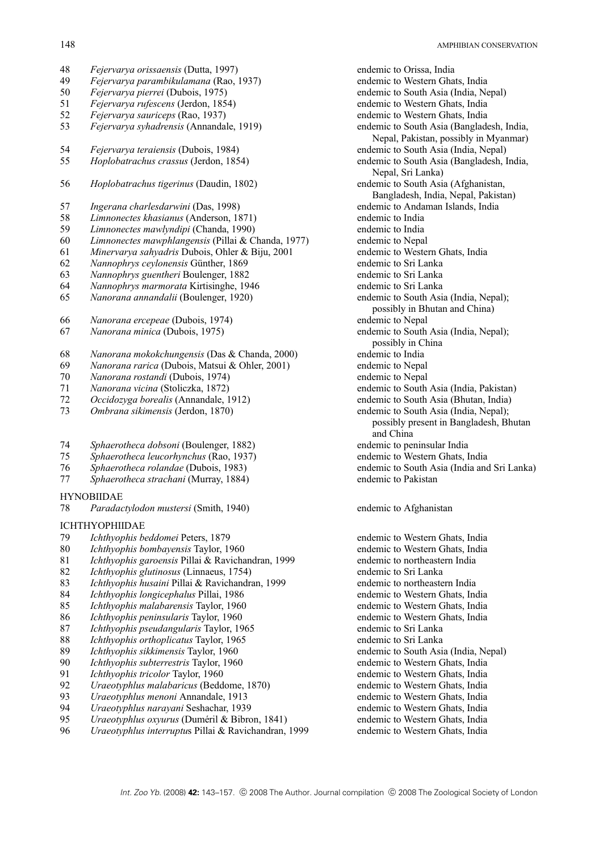- 48 Fejervarya orissaensis (Dutta, 1997)<br>
49 Fejervarya parambikulamana (Rao, 1937) endemic to Western Ghats, India 49 *Fejervarya parambikulamana* (Rao, 1937) endemic to Western Ghats, India<br>50 *Fejervarya pierrei* (Dubois, 1975) endemic to South Asia (India, Nepal) 50 Fejervarya pierrei (Dubois, 1975) endemic to South Asia (India, Nepal)<br>51 Fejervarya rufescens (Jerdon, 1854) endemic to Western Ghats, India Fejervarya rufescens (Jerdon, 1854)<br>
Fejervarya sauriceps (Rao, 1937) endemic to Western Ghats, India<br>
endemic to Western Ghats, India 52 Fejervarya sauriceps (Rao, 1937)<br>53 Fejervarya syhadrensis (Annandal 53 Fejervarya syhadrensis (Annandale, 1919) endemic to South Asia (Bangladesh, India, 54 Fejervarya teraiensis (Dubois, 1984) endemic to South Asia (India, Nepal) 55 Hoplobatrachus crassus (Jerdon, 1854) endemic to South Asia (Bangladesh, India, 56 Hoplobatrachus tigerinus (Daudin, 1802) endemic to South Asia (Afghanistan, 57 Ingerana charlesdarwini (Das, 1998) endemic to Andaman endemic to Andaman Islands, 1998) endemic to Andaman Islands, India 58 Limnonectes khasianus (Anderson, 1871) endemic to India<br>59 Limnonectes mawlyndini (Chanda, 1990) endemic to India 59 Limnonectes mawlyndipi (Chanda, 1990) endemic to India<br>60 Limnonectes mawphlangensis (Pillai & Chanda, 1977) endemic to Nepal 60 Limnonectes mawphlangensis (Pillai & Chanda, 1977) endemic to Nepal<br>61 Minervarya sahyadris Dubois, Ohler & Biju, 2001 endemic to Western Ghats, India 61 Minervarya sahyadris Dubois, Ohler & Biju, 2001 endemic to Western G<br>62 Nannophrys ceylonensis Günther, 1869 endemic to Sri Lanka 62 Nannophrys ceylonensis Günther, 1869<br>63 Nannophrys euentheri Boulenger, 1882<br>endemic to Sri Lanka 63 Nannophrys guentheri Boulenger, 1882<br>64 Nannophrys marmorata Kirtisinghe 19 64 Nannophrys marmorata Kirtisinghe, 1946 endemic to Sri Lanka<br>65 Nanorana annandalii (Boulenger 1920) endemic to South Asi 65 Nanorana annandalii (Boulenger, 1920) endemic to South Asia (India, Nepal); 66 Nanorana ercepeae (Dubois, 1974) endemic to Nepal
- 67 Nanorana minica (Dubois, 1975) endemic to South Asia (India, Nepal);
- 68 Nanorana mokokchungensis (Das & Chanda, 2000) endemic to India
- 69 Nanorana rarica (Dubois, Matsui & Ohler, 2001) endemic to Nepal
- 70 Nanorana rostandi (Dubois, 1974) endemic to Nepal<br>
71 Nanorana vicina (Stoliczka, 1872) endemic to South
- 
- 72 Occidozyga borealis (Annandale, 1912)
- 
- 74 Sphaerotheca dobsoni (Boulenger, 1882) endemic to peninsular India
- 75 Sphaerotheca leucorhynchus (Rao, 1937) endemic to Western Ghats, India
- 
- 77 Sphaerotheca strachani (Murray, 1884) endemic to Pakistan

### HYNOBIIDAE

78 Paradactylodon mustersi (Smith, 1940) endemic to Afghanistan

# ICHTHYOPHIIDAE<br>79 Ichthyophis be

- 
- 
- 81 *Ichthyophis garoensis* Pillai & Ravichandran, 1999 endemic to northeastern *Ray Ichthyophis glutinosus* (Linnaeus, 1754) endemic to Sri Lanka
- 
- 
- 
- 
- 
- 87 *Ichthyophis pseudangularis* Taylor, 1965 endemic to Sri Lanka<br>88 *Ichthyophis orthonlicatus* Taylor, 1965 endemic to Sri Lanka
- 
- 
- 
- 
- 
- 
- 
- 95 Uraeotyphlus oxyurus (Duméril & Bibron, 1841) endemic to Western Ghats, India<br>96 Uraeotyphlus interruptus Pillai & Ravichandran, 1999 endemic to Western Ghats, India
- Uraeotyphlus interruptus Pillai & Ravichandran, 1999

Nepal, Pakistan, possibly in Myanmar) Nepal, Sri Lanka) Bangladesh, India, Nepal, Pakistan) possibly in Bhutan and China) possibly in China endemic to South Asia (India, Pakistan)<br>endemic to South Asia (Bhutan, India) 73 *Ombrana sikimensis* (Jerdon, 1870) endemic to South Asia (India, Nepal); possibly present in Bangladesh, Bhutan and China 76 Sphaerotheca rolandae (Dubois, 1983) endemic to South Asia (India and Sri Lanka)

*Ichthyophis beddomei* Peters, 1879<br>
80 *Ichthyophis bombayensis* Taylor, 1960<br>
20 endemic to Western Ghats, India *Ichthyophis bombayensis* Taylor, 1960 endemic to Western Ghats, Inc<br>81 *Ichthyophis garoensis* Pillai & Ravichandran, 1999 endemic to northeastern India *Ichthyophis glutinosus* (Linnaeus, 1754) endemic to Sri Lanka<br>83 *Ichthyophis husaini* Pillai & Ravichandran. 1999 endemic to northeastern India 83 Ichthyophis husaini Pillai & Ravichandran, 1999 endemic to northeastern India<br>84 Ichthyophis longicephalus Pillai, 1986 endemic to Western Ghats, India 84 Ichthyophis longicephalus Pillai, 1986<br>85 Ichthyophis malabarensis Taylor, 1960 endemic to Western Ghats, India *Ichthyophis malabarensis* Taylor, 1960 endemic to Western Ghats, India<br>86 *Ichthyophis neninsularis* Taylor, 1960 endemic to Western Ghats, India *Ichthyophis peninsularis* Taylor, 1960 endemic to Western G<br>87 *Ichthyophis pseudaneularis* Taylor, 1965 endemic to Sri Lanka *Ichthyophis orthoplicatus* Taylor, 1965<br>89 *Ichthyophis sikkimensis* Taylor, 1960 endemic to South Asia (India, Nepal) *Ichthyophis sikkimensis* Taylor, 1960 endemic to South Asia (India, Nepal)<br>80 *Ichthyophis subterrestris* Taylor, 1960 endemic to Western Ghats. India *Ichthyophis subterrestris* Taylor, 1960 endemic to Western Ghats, India<br>91 *Ichthyophis tricolor* Taylor, 1960 endemic to Western Ghats, India 91 Ichthyophis tricolor Taylor, 1960<br>
92 *Uraeotyphlus malabaricus* (Beddome, 1870) endemic to Western Ghats, India *Uraeotyphlus malabaricus* (Beddome, 1870) endemic to Western Ghats, India<br>93 *Uraeotyphlus menoni* Annandale, 1913 endemic to Western Ghats, India *Uraeotyphlus menoni* Annandale, 1913 **endemic to Western Ghats, India**<br>94 *Uraeotyphlus naravani* Seshachar, 1939 endemic to Western Ghats, India *Uraeotyphlus narayani* Seshachar, 1939 endemic to Western Ghats, India<br>95 *Uraeotyphlus oxyurus* (Duméril & Bibron, 1841) endemic to Western Ghats, India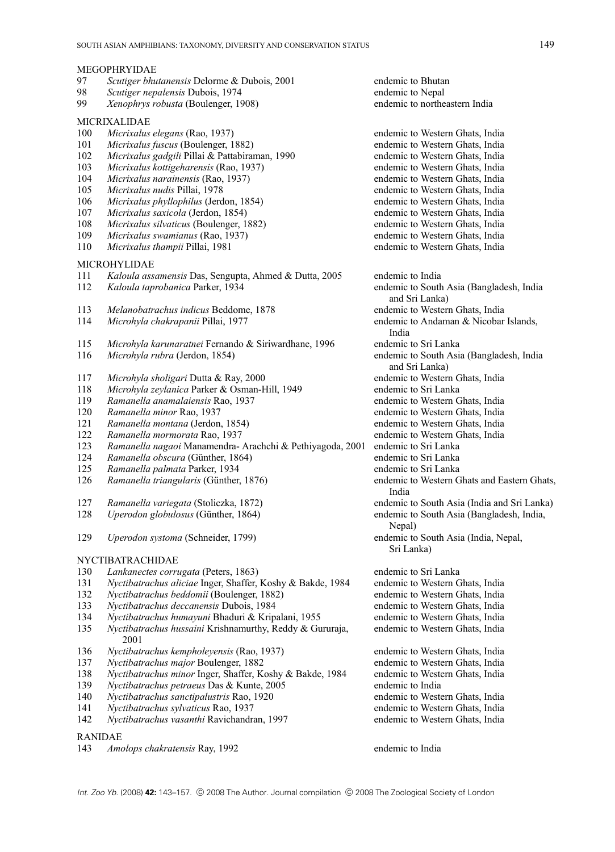# MEGOPHRYIDAE 97 Scutiger bhutanensis Delorme & Dubois, 2001 endemic to Bhutan<br>98 Scutiger nepalensis Dubois 1974 98 Scutiger nepalensis Dubois, 1974<br>
99 *Xenophrys robusta* (Boulenger, 1908) endemic to northeastern India Xenophrys robusta (Boulenger, 1908) MICRIXALIDAE<br>100 Micrixalus 100 *Micrixalus elegans* (Rao, 1937) endemic to Western Ghats, India<br>
101 *Micrixalus fuscus* (Boulenger, 1882) endemic to Western Ghats, India 101 *Micrixalus fuscus* (Boulenger, 1882)<br>
102 *Micrixalus gadgili* Pillai & Pattabiraman, 1990 endemic to Western Ghats, India 102 *Micrixalus gadgili* Pillai & Pattabiraman, 1990 endemic to Western Ghats, India<br>103 *Micrixalus kottigeharensis* (Rao. 1937) endemic to Western Ghats. India 103 Micrixalus kottigeharensis (Rao, 1937) endemic to Western Ghats, India<br>104 Micrixalus narainensis (Rao, 1937) endemic to Western Ghats, India 104 Micrixalus narainensis (Rao, 1937)<br>105 Micrixalus nudis Pillai, 1978 106 *Micrixalus phyllophilus* (Jerdon, 1854) endemic to Western Ghats, India<br>107 *Micrixalus saxicola* (Jerdon, 1854) endemic to Western Ghats, India 107 *Micrixalus saxicola* (Jerdon, 1854) endemic to Western Ghats, India<br>
108 *Micrixalus silvaticus* (Boulenger, 1882) endemic to Western Ghats, India 108 Micrixalus silvaticus (Boulenger, 1882) 109 Micrixalus swamianus (Rao, 1937) endemic to Western Ghats, India 110 Micrixalus thampii Pillai, 1981 endemic to Western Ghats, India MICROHYLIDAE<br>111 *Kaloula ass* 111 Kaloula assamensis Das, Sengupta, Ahmed & Dutta, 2005 endemic to India<br>112 Kaloula taprobanica Parker, 1934 endemic to South 113 Melanobatrachus indicus Beddome, 1878<br>114 Microhyla chakrapanii Pillai, 1977 115 Microhyla karunaratnei Fernando & Siriwardhane, 1996<br>116 Microhyla rubra (Jerdon, 1854) 117 *Microhyla sholigari* Dutta & Ray, 2000<br>118 *Microhyla zevlanica* Parker & Osman-Hill. 1949 endemic to Sri Lanka 118 *Microhyla zeylanica* Parker & Osman-Hill, 1949 endemic to Sri Lanka<br>119 *Ramanella anamalaiensis* Rao. 1937 endemic to Western Ghats. India Ramanella anamalaiensis Rao, 1937<br>Ramanella minor Rao, 1937 120 Ramanella minor Rao, 1937<br>
121 Ramanella montana (Jerdon, 1854) endemic to Western Ghats, India 121 Ramanella montana (Jerdon, 1854)<br>122 Ramanella mormorata Rao. 1937 endemic to Western Ghats, India 122 Ramanella mormorata Rao, 1937<br>123 Ramanella nagaoi Manamendra-Arachchi & Pethivagoda, 2001 endemic to Sri Lanka 123 Ramanella nagaoi Manamendra- Arachchi & Pethiyagoda, 2001 124 Ramanella obscura (Günther, 1864) endemic to Sri Lanka 125 Ramanella palmata Parker, 1934 endemic to Sri Lanka 126 Ramanella triangularis (Günther, 1876) endemic to Western Ghats and Eastern Ghats, 127 Ramanella variegata (Stoliczka, 1872) endemic to South Asia (India and Sri Lanka)<br>128 Uperodon globulosus (Günther, 1864) endemic to South Asia (Bangladesh, India, 129 Uperodon systoma (Schneider, 1799) NYCTIBATRACHIDAE 130 Lankanectes corrugata (Peters, 1863) endemic to Sri Lanka<br>131 Nyctibatrachus aliciae Inger. Shaffer. Koshy & Bakde. 1984 endemic to Western Ghats. India

- 
- 
- 
- 134 Nyctibatrachus humayuni Bhaduri & Kripalani, 1955
- 135 Nyctibatrachus hussaini Krishnamurthy, Reddy & Gururaja, 2001
- 
- 
- 138 Nyctibatrachus minor Inger, Shaffer, Koshy & Bakde, 1984
- 139 Nyctibatrachus petraeus Das & Kunte, 2005 endemic to India
- 
- 
- Nyctibatrachus vasanthi Ravichandran, 1997

### RANIDAE

143 Amolops chakratensis Ray, 1992 endemic to India

endemic to Western Ghats, India<br>endemic to Western Ghats, India

endemic to South Asia (Bangladesh, India

and Sri Lanka)

- endemic to Andaman & Nicobar Islands,
- India<br>endemic to Sri Lanka
- endemic to South Asia (Bangladesh, India
- and Sri Lanka)<br>endemic to Western Ghats. India
- 
- 
- 
- 
- 
- 
- 
- 
- India
- endemic to South Asia (Bangladesh, India,
- Nepal)<br>endemic to South Asia (India, Nepal,
- Sri Lanka)

131 Nyctibatrachus aliciae Inger, Shaffer, Koshy & Bakde, 1984 endemic to Western Ghats, India<br>132 Nyctibatrachus heddomii (Boulenger, 1882)<br>132 Nyctibatrachus heddomii (Boulenger, 1882) 132 *Nyctibatrachus beddomii* (Boulenger, 1882) endemic to Western Ghats, India<br>133 *Nyctibatrachus deccanensis* Dubois. 1984 endemic to Western Ghats. India Nyctibatrachus deccanensis Dubois, 1984<br>
133 Nyctibatrachus humavuni Bhaduri & Kripalani, 1955<br>
135 endemic to Western Ghats, India endemic to Western Ghats, India

*Nyctibatrachus kempholeyensis* (Rao, 1937) endemic to Western Ghats, India<br>137 *Nyctibatrachus maior* Boulenger. 1882 endemic to Western Ghats. India 137 Nyctibatrachus major Boulenger, 1882 endemic to Western Ghats, India<br>138 Nyctibatrachus minor Inger. Shaffer. Koshy & Bakde. 1984 endemic to Western Ghats. India *Nyctibatrachus sanctipalustris* Rao, 1920 endemic to Western Ghats, India<br>141 *Nyctibatrachus sylvaticus* Rao, 1937 endemic to Western Ghats. India *Nyctibatrachus sylvaticus* Rao, 1937 endemic to Western Ghats, India<br>142 *Nyctibatrachus vasanthi* Ravichandran, 1997 endemic to Western Ghats, India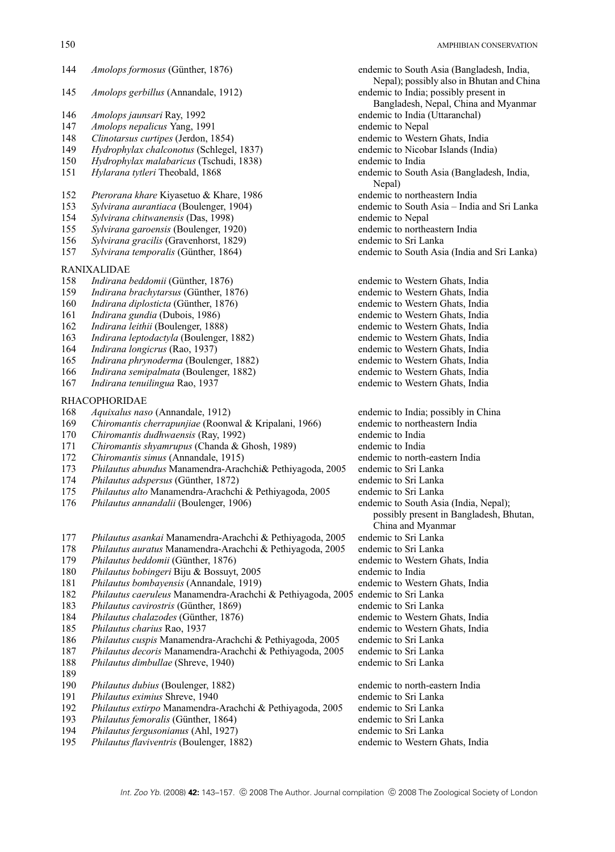144 Amolops formosus (Günther, 1876) endemic to South Asia (Bangladesh, India, Nepal); possibly also in Bhutan and China 145 Amolops gerbillus (Annandale, 1912) endemic to India; possibly present in Bangladesh, Nepal, China and Myanmar 146 Amolops jaunsari Ray, 1992 endemic to India (Uttaranchal) 147 Amolops nepalicus Yang, 1991 endemic to Nepal 148 Clinotarsus curtipes (Jerdon, 1854) endemic to Western Ghats, India 149 Hydrophylax chalconotus (Schlegel, 1837) endemic to Nicobar Islands (India) 150 Hydrophylax malabaricus (Tschudi, 1838) endemic to India<br>151 Hylarana tytleri Theobald, 1868 endemic to South 151 Hylarana tytleri Theobald, 1868 endemic to South Asia (Bangladesh, India, Nepal) 152 Pterorana khare Kiyasetuo & Khare, 1986 endemic to northeastern India<br>153 Sylvirana aurantiaca (Boulenger, 1904) endemic to South Asia – India 153 Sylvirana aurantiaca (Boulenger, 1904) endemic to South Asia – India and Sri Lanka<br>154 Sylvirana chitwanensis (Das, 1998) endemic to Nepal 154 Sylvirana chitwanensis (Das, 1998)<br>155 Sylvirana garoensis (Boulenger, 1920) endemic to northeastern India 155 Sylvirana garoensis (Boulenger, 1920) endemic to northeaste<br>156 Sylvirana gracilis (Gravenhorst, 1829) endemic to Sri Lanka 156 Sylvirana gracilis (Gravenhorst, 1829)<br>157 Sylvirana temporalis (Günther, 1864) endemic to South Asia (India and Sri Lanka) RANIXALIDAE 158 Indirana beddomii (Günther, 1876) endemic to Western Ghats, India 159 Indirana brachytarsus (Günther, 1876) endemic to Western Ghats, India 160 *Indirana diplosticta* (Günther, 1876) endemic to Western Ghats, India 161 *Indirana gundia* (Dubois, 1986)<br>162 *Indirana leithii* (Boulenger, 1888) endemic to Western Ghats, India 162 *Indirana leithii* (Boulenger, 1888)<br>163 *Indirana leptodactyla* (Boulenger, 1882) endemic to Western Ghats, India 163 *Indirana leptodactyla* (Boulenger, 1882)<br>164 *Indirana longicrus* (Rao, 1937) 164 *Indirana longicrus* (Rao, 1937)<br>165 *Indirana phrynoderma* (Boulenger, 1882) endemic to Western Ghats, India 165 *Indirana phrynoderma* (Boulenger, 1882) endemic to Western Ghats, India<br>166 *Indirana semipalmata* (Boulenger, 1882) endemic to Western Ghats, India 166 Indirana semipalmata (Boulenger, 1882) endemic to Western Ghats, India 167 Indirana tenuilingua Rao, 1937 RHACOPHORIDAE 168 *Aquixalus naso* (Annandale, 1912) endemic to India; possibly in China<br>169 *Chiromantis cherrapuniiae* (Roonwal & Kripalani, 1966) endemic to northeastern India 169 Chiromantis cherrapunjiae (Roonwal & Kripalani, 1966) endemic to north<br>170 Chiromantis dudhwaensis (Ray. 1992) endemic to India 170 Chiromantis dudhwaensis (Ray, 1992) 171 Chiromantis shyamrupus (Chanda & Ghosh, 1989) endemic to India<br>172 Chiromantis simus (Annandale, 1915) endemic to north-eastern India 172 Chiromantis simus (Annandale, 1915) 173 Philautus abundus Manamendra-Arachchi& Pethiyagoda, 2005 endemic to Sri Lanka 174 *Philautus adspersus* (Günther, 1872) endemic to Sri Lanka<br>175 *Philautus alto* Manamendra-Arachchi & Pethivagoda, 2005 endemic to Sri Lanka 175 Philautus alto Manamendra-Arachchi & Pethiyagoda, 2005 endemic to Sri Lanka<br>176 Philautus annandalii (Boulenger, 1906) endemic to South Asia (India, Nepal); Philautus annandalii (Boulenger, 1906) possibly present in Bangladesh, Bhutan, China and Myanmar 177 Philautus asankai Manamendra-Arachchi & Pethiyagoda, 2005 endemic to Sri Lanka<br>178 Philautus auratus Manamendra-Arachchi & Pethiyagoda, 2005 endemic to Sri Lanka 178 Philautus auratus Manamendra-Arachchi & Pethiyagoda, 2005 endemic to Sri Lanka<br>179 Philautus beddomii (Günther, 1876) endemic to Western Ghats, India 179 *Philautus beddomii* (Günther, 1876)<br>180 *Philautus bobingeri* Biju & Bossuvt. 2005 endemic to India 180 Philautus bobingeri Biju & Bossuyt, 2005<br>181 Philautus bombavensis (Annandale, 1919) endemic to Western Ghats, India 181 *Philautus bombayensis* (Annandale, 1919)<br>182 *Philautus caeruleus* Manamendra-Arachch 182 Philautus caeruleus Manamendra-Arachchi & Pethiyagoda, 2005 endemic to Sri Lanka<br>183 Philautus cavirostris (Günther, 1869) endemic to Sri Lanka Philautus cavirostris (Günther, 1869) endemic to Sri Lanka<br>
Philautus chalazodes (Günther, 1876) endemic to Western Ghats. India 184 Philautus chalazodes (Günther, 1876) 185 Philautus charius Rao, 1937<br>186 Philautus cuspis Manamendra-Arachchi & Pethivagoda. 2005 endemic to Sri Lanka 186 Philautus cuspis Manamendra-Arachchi & Pethiyagoda, 2005 187 Philautus decoris Manamendra-Arachchi & Pethiyagoda, 2005 endemic to Sri Lanka 188 Philautus dimbullae (Shreve, 1940) endemic to Sri Lanka 189 190 Philautus dubius (Boulenger, 1882) endemic to north-eastern India 191 Philautus eximius Shreve, 1940<br>192 Philautus extirpo Manamendra-Arachchi & Pethivagoda, 2005 endemic to Sri Lanka 192 Philautus extirpo Manamendra-Arachchi & Pethiyagoda, 2005 endemic to Sri Lanka<br>193 Philautus femoralis (Günther. 1864) endemic to Sri Lanka 193 *Philautus femoralis* (Günther, 1864) endemic to Sri Lanka<br>194 *Philautus fereusonianus* (Ahl. 1927) endemic to Sri Lanka 194 *Philautus fergusonianus* (Ahl, 1927)<br>195 *Philautus flaviventris* (Boulenger, 1882) endemic to Western Ghats, India Philautus flaviventris (Boulenger, 1882)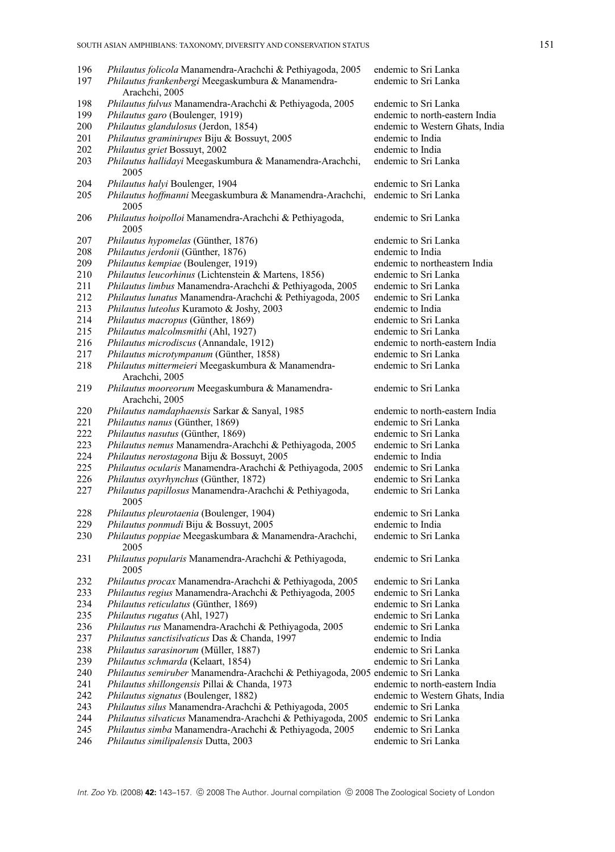| 196<br>197 | Philautus folicola Manamendra-Arachchi & Pethiyagoda, 2005<br>Philautus frankenbergi Meegaskumbura & Manamendra-<br>Arachchi, 2005 | endemic to Sri Lanka<br>endemic to Sri Lanka |
|------------|------------------------------------------------------------------------------------------------------------------------------------|----------------------------------------------|
| 198        | Philautus fulvus Manamendra-Arachchi & Pethiyagoda, 2005                                                                           | endemic to Sri Lanka                         |
| 199        | Philautus garo (Boulenger, 1919)                                                                                                   | endemic to north-eastern India               |
| 200        | Philautus glandulosus (Jerdon, 1854)                                                                                               | endemic to Western Ghats, India              |
| 201        | Philautus graminirupes Biju & Bossuyt, 2005                                                                                        | endemic to India                             |
|            |                                                                                                                                    |                                              |
| 202        | Philautus griet Bossuyt, 2002                                                                                                      | endemic to India                             |
| 203        | Philautus hallidayi Meegaskumbura & Manamendra-Arachchi,<br>2005                                                                   | endemic to Sri Lanka                         |
| 204        | Philautus halyi Boulenger, 1904                                                                                                    | endemic to Sri Lanka                         |
| 205        | Philautus hoffmanni Meegaskumbura & Manamendra-Arachchi,<br>2005                                                                   | endemic to Sri Lanka                         |
| 206        | Philautus hoipolloi Manamendra-Arachchi & Pethiyagoda,<br>2005                                                                     | endemic to Sri Lanka                         |
| 207        | <i>Philautus hypomelas</i> (Günther, 1876)                                                                                         | endemic to Sri Lanka                         |
| 208        | Philautus jerdonii (Günther, 1876)                                                                                                 | endemic to India                             |
| 209        | Philautus kempiae (Boulenger, 1919)                                                                                                | endemic to northeastern India                |
| 210        | Philautus leucorhinus (Lichtenstein & Martens, 1856)                                                                               | endemic to Sri Lanka                         |
| 211        | Philautus limbus Manamendra-Arachchi & Pethiyagoda, 2005                                                                           | endemic to Sri Lanka                         |
| 212        | <i>Philautus lunatus</i> Manamendra-Arachchi & Pethiyagoda, 2005                                                                   | endemic to Sri Lanka                         |
| 213        | Philautus luteolus Kuramoto & Joshy, 2003                                                                                          | endemic to India                             |
| 214        | <i>Philautus macropus</i> (Günther, 1869)                                                                                          | endemic to Sri Lanka                         |
| 215        | Philautus malcolmsmithi (Ahl, 1927)                                                                                                | endemic to Sri Lanka                         |
| 216        | Philautus microdiscus (Annandale, 1912)                                                                                            | endemic to north-eastern India               |
| 217        | Philautus microtympanum (Günther, 1858)                                                                                            | endemic to Sri Lanka                         |
| 218        | Philautus mittermeieri Meegaskumbura & Manamendra-<br>Arachchi, 2005                                                               | endemic to Sri Lanka                         |
| 219        | Philautus mooreorum Meegaskumbura & Manamendra-<br>Arachchi, 2005                                                                  | endemic to Sri Lanka                         |
| 220        | Philautus namdaphaensis Sarkar & Sanyal, 1985                                                                                      | endemic to north-eastern India               |
| 221        | <i>Philautus nanus</i> (Günther, 1869)                                                                                             | endemic to Sri Lanka                         |
| 222        | Philautus nasutus (Günther, 1869)                                                                                                  | endemic to Sri Lanka                         |
| 223        | Philautus nemus Manamendra-Arachchi & Pethiyagoda, 2005                                                                            | endemic to Sri Lanka                         |
| 224        | Philautus nerostagona Biju & Bossuyt, 2005                                                                                         | endemic to India                             |
| 225        | Philautus ocularis Manamendra-Arachchi & Pethiyagoda, 2005                                                                         | endemic to Sri Lanka                         |
| 226        | Philautus oxyrhynchus (Günther, 1872)                                                                                              | endemic to Sri Lanka                         |
| 227        | Philautus papillosus Manamendra-Arachchi & Pethiyagoda,<br>2005                                                                    | endemic to Sri Lanka                         |
| 228        | Philautus pleurotaenia (Boulenger, 1904)                                                                                           | endemic to Sri Lanka                         |
| 229        | Philautus ponmudi Biju & Bossuyt, 2005                                                                                             | endemic to India                             |
| 230        | Philautus poppiae Meegaskumbara & Manamendra-Arachchi,<br>2005                                                                     | endemic to Sri Lanka                         |
| 231        | Philautus popularis Manamendra-Arachchi & Pethiyagoda,<br>2005                                                                     | endemic to Sri Lanka                         |
| 232        | <i>Philautus procax</i> Manamendra-Arachchi & Pethiyagoda, 2005                                                                    | endemic to Sri Lanka                         |
| 233        | Philautus regius Manamendra-Arachchi & Pethiyagoda, 2005                                                                           | endemic to Sri Lanka                         |
| 234        | Philautus reticulatus (Günther, 1869)                                                                                              | endemic to Sri Lanka                         |
| 235        | Philautus rugatus (Ahl, 1927)                                                                                                      | endemic to Sri Lanka                         |
| 236        | Philautus rus Manamendra-Arachchi & Pethiyagoda, 2005                                                                              | endemic to Sri Lanka                         |
| 237        | Philautus sanctisilvaticus Das & Chanda, 1997                                                                                      | endemic to India                             |
| 238        | Philautus sarasinorum (Müller, 1887)                                                                                               | endemic to Sri Lanka                         |
| 239        | Philautus schmarda (Kelaart, 1854)                                                                                                 | endemic to Sri Lanka                         |
| 240        | Philautus semiruber Manamendra-Arachchi & Pethiyagoda, 2005 endemic to Sri Lanka                                                   |                                              |
| 241        | Philautus shillongensis Pillai & Chanda, 1973                                                                                      | endemic to north-eastern India               |
| 242        | Philautus signatus (Boulenger, 1882)                                                                                               | endemic to Western Ghats, India              |
| 243        | Philautus silus Manamendra-Arachchi & Pethiyagoda, 2005                                                                            | endemic to Sri Lanka                         |
| 244        | Philautus silvaticus Manamendra-Arachchi & Pethiyagoda, 2005                                                                       | endemic to Sri Lanka                         |
| 245        | Philautus simba Manamendra-Arachchi & Pethiyagoda, 2005                                                                            | endemic to Sri Lanka                         |
| 246        | Philautus similipalensis Dutta, 2003                                                                                               | endemic to Sri Lanka                         |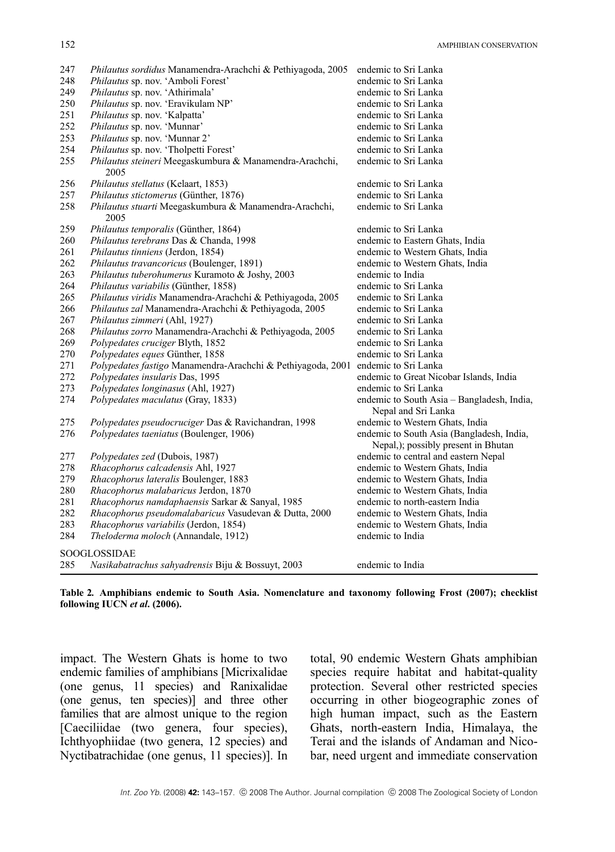| 247 | Philautus sordidus Manamendra-Arachchi & Pethiyagoda, 2005      | endemic to Sri Lanka                                                             |
|-----|-----------------------------------------------------------------|----------------------------------------------------------------------------------|
| 248 | Philautus sp. nov. 'Amboli Forest'                              | endemic to Sri Lanka                                                             |
| 249 | Philautus sp. nov. 'Athirimala'                                 | endemic to Sri Lanka                                                             |
| 250 | Philautus sp. nov. 'Eravikulam NP'                              | endemic to Sri Lanka                                                             |
| 251 | Philautus sp. nov. 'Kalpatta'                                   | endemic to Sri Lanka                                                             |
| 252 | Philautus sp. nov. 'Munnar'                                     | endemic to Sri Lanka                                                             |
| 253 | Philautus sp. nov. 'Munnar 2'                                   | endemic to Sri Lanka                                                             |
| 254 | Philautus sp. nov. 'Tholpetti Forest'                           | endemic to Sri Lanka                                                             |
| 255 | Philautus steineri Meegaskumbura & Manamendra-Arachchi,<br>2005 | endemic to Sri Lanka                                                             |
| 256 | Philautus stellatus (Kelaart, 1853)                             | endemic to Sri Lanka                                                             |
| 257 | Philautus stictomerus (Günther, 1876)                           | endemic to Sri Lanka                                                             |
| 258 | Philautus stuarti Meegaskumbura & Manamendra-Arachchi,<br>2005  | endemic to Sri Lanka                                                             |
| 259 | Philautus temporalis (Günther, 1864)                            | endemic to Sri Lanka                                                             |
| 260 | Philautus terebrans Das & Chanda, 1998                          | endemic to Eastern Ghats, India                                                  |
| 261 | Philautus tinniens (Jerdon, 1854)                               | endemic to Western Ghats, India                                                  |
| 262 | Philautus travancoricus (Boulenger, 1891)                       | endemic to Western Ghats, India                                                  |
| 263 | Philautus tuberohumerus Kuramoto & Joshy, 2003                  | endemic to India                                                                 |
| 264 | Philautus variabilis (Günther, 1858)                            | endemic to Sri Lanka                                                             |
| 265 | Philautus viridis Manamendra-Arachchi & Pethiyagoda, 2005       | endemic to Sri Lanka                                                             |
| 266 | Philautus zal Manamendra-Arachchi & Pethiyagoda, 2005           | endemic to Sri Lanka                                                             |
| 267 | Philautus zimmeri (Ahl, 1927)                                   | endemic to Sri Lanka                                                             |
| 268 | Philautus zorro Manamendra-Arachchi & Pethiyagoda, 2005         | endemic to Sri Lanka                                                             |
| 269 | Polypedates cruciger Blyth, 1852                                | endemic to Sri Lanka                                                             |
| 270 | Polypedates eques Günther, 1858                                 | endemic to Sri Lanka                                                             |
| 271 | Polypedates fastigo Manamendra-Arachchi & Pethiyagoda, 2001     | endemic to Sri Lanka                                                             |
| 272 | Polypedates insularis Das, 1995                                 | endemic to Great Nicobar Islands, India                                          |
| 273 | Polypedates longinasus (Ahl, 1927)                              | endemic to Sri Lanka                                                             |
| 274 | Polypedates maculatus (Gray, 1833)                              | endemic to South Asia - Bangladesh, India,<br>Nepal and Sri Lanka                |
| 275 | Polypedates pseudocruciger Das & Ravichandran, 1998             | endemic to Western Ghats, India                                                  |
| 276 | Polypedates taeniatus (Boulenger, 1906)                         | endemic to South Asia (Bangladesh, India,<br>Nepal,); possibly present in Bhutan |
| 277 | Polypedates zed (Dubois, 1987)                                  | endemic to central and eastern Nepal                                             |
| 278 | Rhacophorus calcadensis Ahl, 1927                               | endemic to Western Ghats, India                                                  |
| 279 | Rhacophorus lateralis Boulenger, 1883                           | endemic to Western Ghats, India                                                  |
| 280 | Rhacophorus malabaricus Jerdon, 1870                            | endemic to Western Ghats, India                                                  |
| 281 | Rhacophorus namdaphaensis Sarkar & Sanyal, 1985                 | endemic to north-eastern India                                                   |
| 282 | Rhacophorus pseudomalabaricus Vasudevan & Dutta, 2000           | endemic to Western Ghats, India                                                  |
| 283 | Rhacophorus variabilis (Jerdon, 1854)                           | endemic to Western Ghats, India                                                  |
| 284 | Theloderma moloch (Annandale, 1912)                             | endemic to India                                                                 |
|     |                                                                 |                                                                                  |
| 285 | <b>SOOGLOSSIDAE</b>                                             | endemic to India                                                                 |
|     | Nasikabatrachus sahyadrensis Biju & Bossuyt, 2003               |                                                                                  |

Table 2. Amphibians endemic to South Asia. Nomenclature and taxonomy following Frost (2007); checklist following IUCN et al. (2006).

impact. The Western Ghats is home to two endemic families of amphibians [Micrixalidae (one genus, 11 species) and Ranixalidae (one genus, ten species)] and three other families that are almost unique to the region [Caeciliidae (two genera, four species), Ichthyophiidae (two genera, 12 species) and Nyctibatrachidae (one genus, 11 species)]. In total, 90 endemic Western Ghats amphibian species require habitat and habitat-quality protection. Several other restricted species occurring in other biogeographic zones of high human impact, such as the Eastern Ghats, north-eastern India, Himalaya, the Terai and the islands of Andaman and Nicobar, need urgent and immediate conservation

Int. Zoo Yb. (2008) **42:** 143–157. © 2008 The Author. Journal compilation © 2008 The Zoological Society of London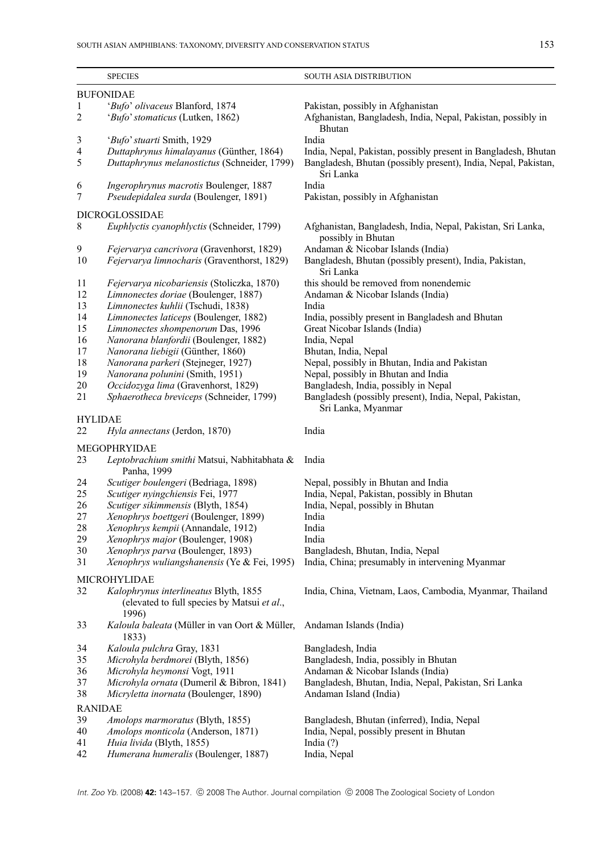|          | <b>SPECIES</b>                                                                                | SOUTH ASIA DISTRIBUTION                                                                                              |
|----------|-----------------------------------------------------------------------------------------------|----------------------------------------------------------------------------------------------------------------------|
|          | BUFONIDAE                                                                                     |                                                                                                                      |
|          | <i>'Bufo' olivaceus</i> Blanford, 1874                                                        | Pakistan, possibly in Afghanistan                                                                                    |
| 2        | 'Bufo' stomaticus (Lutken, 1862)                                                              | Afghanistan, Bangladesh, India, Nepal, Pakistan, possibly in<br>Bhutan                                               |
| 3        | 'Bufo' stuarti Smith, 1929                                                                    | India                                                                                                                |
| 4        | Duttaphrynus himalayanus (Günther, 1864)                                                      | India, Nepal, Pakistan, possibly present in Bangladesh, Bhutan                                                       |
| 5        | Duttaphrynus melanostictus (Schneider, 1799)                                                  | Bangladesh, Bhutan (possibly present), India, Nepal, Pakistan,<br>Sri Lanka                                          |
| 6        | <i>Ingerophrynus macrotis</i> Boulenger, 1887                                                 | India                                                                                                                |
| 7        | Pseudepidalea surda (Boulenger, 1891)                                                         | Pakistan, possibly in Afghanistan                                                                                    |
|          | DICROGLOSSIDAE                                                                                |                                                                                                                      |
| 8        | Euphlyctis cyanophlyctis (Schneider, 1799)                                                    | Afghanistan, Bangladesh, India, Nepal, Pakistan, Sri Lanka,<br>possibly in Bhutan                                    |
| 9        | <i>Fejervarya cancrivora</i> (Gravenhorst, 1829)                                              | Andaman & Nicobar Islands (India)                                                                                    |
| 10       | Fejervarya limnocharis (Graventhorst, 1829)                                                   | Bangladesh, Bhutan (possibly present), India, Pakistan,<br>Sri Lanka                                                 |
| 11       | <i>Fejervarya nicobariensis</i> (Stoliczka, 1870)                                             | this should be removed from nonendemic                                                                               |
| 12       | Limnonectes doriae (Boulenger, 1887)                                                          | Andaman & Nicobar Islands (India)                                                                                    |
| 13       | Limnonectes kuhlii (Tschudi, 1838)                                                            | India                                                                                                                |
| 14       | Limnonectes laticeps (Boulenger, 1882)                                                        | India, possibly present in Bangladesh and Bhutan                                                                     |
| 15       | Limnonectes shompenorum Das, 1996                                                             | Great Nicobar Islands (India)                                                                                        |
| 16       | Nanorana blanfordii (Boulenger, 1882)                                                         | India, Nepal                                                                                                         |
| 17       | Nanorana liebigii (Günther, 1860)                                                             | Bhutan, India, Nepal                                                                                                 |
| 18       | Nanorana parkeri (Stejneger, 1927)                                                            | Nepal, possibly in Bhutan, India and Pakistan                                                                        |
| 19       | <i>Nanorana polunini</i> (Smith, 1951)                                                        | Nepal, possibly in Bhutan and India                                                                                  |
| 20<br>21 | Occidozyga lima (Gravenhorst, 1829)<br>Sphaerotheca breviceps (Schneider, 1799)               | Bangladesh, India, possibly in Nepal<br>Bangladesh (possibly present), India, Nepal, Pakistan,<br>Sri Lanka, Myanmar |
|          | HYLIDAE                                                                                       |                                                                                                                      |
| 22       | Hyla annectans (Jerdon, 1870)                                                                 | India                                                                                                                |
|          |                                                                                               |                                                                                                                      |
|          | MEGOPHRYIDAE                                                                                  |                                                                                                                      |
| 23       | Leptobrachium smithi Matsui, Nabhitabhata &<br>Panha, 1999                                    | India                                                                                                                |
| 24       | Scutiger boulengeri (Bedriaga, 1898)                                                          | Nepal, possibly in Bhutan and India                                                                                  |
| 25       | Scutiger nyingchiensis Fei, 1977                                                              | India, Nepal, Pakistan, possibly in Bhutan                                                                           |
| 26       | Scutiger sikimmensis (Blyth, 1854)                                                            | India, Nepal, possibly in Bhutan                                                                                     |
| 27<br>28 | Xenophrys boettgeri (Boulenger, 1899)                                                         | India<br>India                                                                                                       |
| 29       | Xenophrys kempii (Annandale, 1912)                                                            | India                                                                                                                |
| 30       | Xenophrys major (Boulenger, 1908)<br>Xenophrys parva (Boulenger, 1893)                        |                                                                                                                      |
| 31       | Xenophrys wuliangshanensis (Ye & Fei, 1995)                                                   | Bangladesh, Bhutan, India, Nepal<br>India, China; presumably in intervening Myanmar                                  |
|          | MICROHYLIDAE                                                                                  |                                                                                                                      |
| 32       | Kalophrynus interlineatus Blyth, 1855<br>(elevated to full species by Matsui et al.,<br>1996) | India, China, Vietnam, Laos, Cambodia, Myanmar, Thailand                                                             |
| 33       | Kaloula baleata (Müller in van Oort & Müller,<br>1833)                                        | Andaman Islands (India)                                                                                              |
| 34       | Kaloula pulchra Gray, 1831                                                                    | Bangladesh, India                                                                                                    |
| 35       | Microhyla berdmorei (Blyth, 1856)                                                             | Bangladesh, India, possibly in Bhutan                                                                                |
| 36       | Microhyla heymonsi Vogt, 1911                                                                 | Andaman & Nicobar Islands (India)                                                                                    |
| 37       | Microhyla ornata (Dumeril & Bibron, 1841)                                                     | Bangladesh, Bhutan, India, Nepal, Pakistan, Sri Lanka                                                                |
| 38       | Micryletta inornata (Boulenger, 1890)                                                         | Andaman Island (India)                                                                                               |
|          | RANIDAE                                                                                       |                                                                                                                      |
|          |                                                                                               |                                                                                                                      |

- 
- 
- 
- 41 Huia livida (Blyth, 1855) India (?)<br>42 Humerana humeralis (Boulenger, 1887) India, Nepal Humerana humeralis (Boulenger, 1887)

39 Amolops marmoratus (Blyth, 1855) Bangladesh, Bhutan (inferred), India, Nepal<br>40 Amolops monticola (Anderson, 1871) India, Nepal, possibly present in Bhutan 40 *Amolops monticola* (Anderson, 1871) India, Nepal, possibly present in Bhutan *Huia livida* (Blyth, 1855) India (?)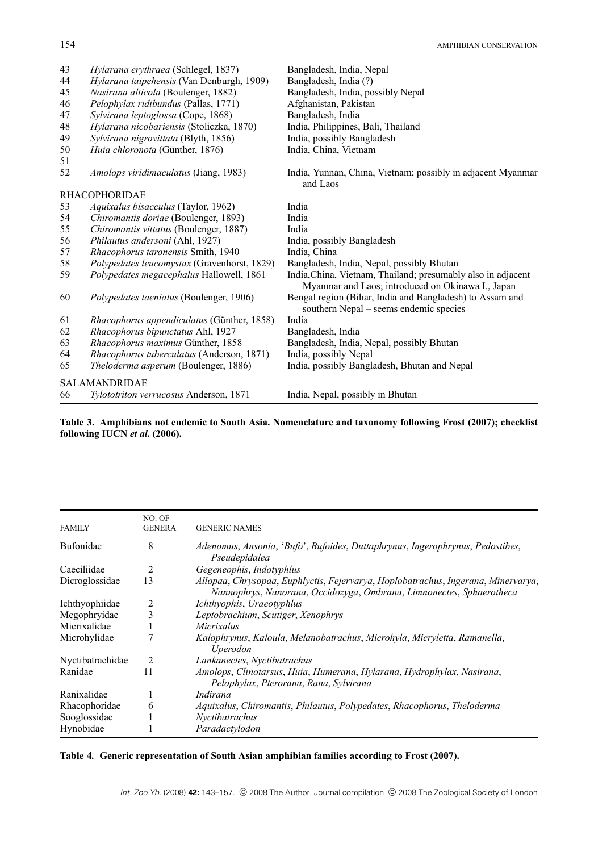| 43       | Hylarana erythraea (Schlegel, 1837)         | Bangladesh, India, Nepal                                                                                          |
|----------|---------------------------------------------|-------------------------------------------------------------------------------------------------------------------|
| 44       | Hylarana taipehensis (Van Denburgh, 1909)   | Bangladesh, India (?)                                                                                             |
| 45       | Nasirana alticola (Boulenger, 1882)         | Bangladesh, India, possibly Nepal                                                                                 |
| 46       | Pelophylax ridibundus (Pallas, 1771)        | Afghanistan, Pakistan                                                                                             |
| 47       | Sylvirana leptoglossa (Cope, 1868)          | Bangladesh, India                                                                                                 |
| 48       | Hylarana nicobariensis (Stoliczka, 1870)    | India, Philippines, Bali, Thailand                                                                                |
| 49       | Sylvirana nigrovittata (Blyth, 1856)        | India, possibly Bangladesh                                                                                        |
| 50<br>51 | Huia chloronota (Günther, 1876)             | India, China, Vietnam                                                                                             |
| 52       | Amolops viridimaculatus (Jiang, 1983)       | India, Yunnan, China, Vietnam; possibly in adjacent Myanmar<br>and Laos                                           |
|          | <b>RHACOPHORIDAE</b>                        |                                                                                                                   |
| 53       | Aquixalus bisacculus (Taylor, 1962)         | India                                                                                                             |
| 54       | Chiromantis doriae (Boulenger, 1893)        | India                                                                                                             |
| 55       | Chiromantis vittatus (Boulenger, 1887)      | India                                                                                                             |
| 56       | Philautus andersoni (Ahl, 1927)             | India, possibly Bangladesh                                                                                        |
| 57       | Rhacophorus taronensis Smith, 1940          | India, China                                                                                                      |
| 58       | Polypedates leucomystax (Gravenhorst, 1829) | Bangladesh, India, Nepal, possibly Bhutan                                                                         |
| 59       | Polypedates megacephalus Hallowell, 1861    | India, China, Vietnam, Thailand; presumably also in adjacent<br>Myanmar and Laos; introduced on Okinawa I., Japan |
| 60       | Polypedates taeniatus (Boulenger, 1906)     | Bengal region (Bihar, India and Bangladesh) to Assam and<br>southern Nepal – seems endemic species                |
| 61       | Rhacophorus appendiculatus (Günther, 1858)  | India                                                                                                             |
| 62       | Rhacophorus bipunctatus Ahl, 1927           | Bangladesh, India                                                                                                 |
| 63       | Rhacophorus maximus Günther, 1858           | Bangladesh, India, Nepal, possibly Bhutan                                                                         |
| 64       | Rhacophorus tuberculatus (Anderson, 1871)   | India, possibly Nepal                                                                                             |
| 65       | Theloderma asperum (Boulenger, 1886)        | India, possibly Bangladesh, Bhutan and Nepal                                                                      |
|          | <b>SALAMANDRIDAE</b>                        |                                                                                                                   |
| 66       | Tylototriton verrucosus Anderson, 1871      | India, Nepal, possibly in Bhutan                                                                                  |

Table 3. Amphibians not endemic to South Asia. Nomenclature and taxonomy following Frost (2007); checklist following IUCN et al.  $(2006)$ .

| <b>FAMILY</b>    | NO. OF<br><b>GENERA</b> | <b>GENERIC NAMES</b>                                                                                                                                      |
|------------------|-------------------------|-----------------------------------------------------------------------------------------------------------------------------------------------------------|
| Bufonidae        | 8                       | Adenomus, Ansonia, 'Bufo', Bufoides, Duttaphrynus, Ingerophrynus, Pedostibes,<br>Pseudepidalea                                                            |
| Caeciliidae      | 2                       | Gegeneophis, Indotyphlus                                                                                                                                  |
| Dicroglossidae   | 13                      | Allopaa, Chrysopaa, Euphlyctis, Fejervarya, Hoplobatrachus, Ingerana, Minervarya,<br>Nannophrys, Nanorana, Occidozyga, Ombrana, Limnonectes, Sphaerotheca |
| Ichthyophiidae   | 2                       | Ichthyophis, Uraeotyphlus                                                                                                                                 |
| Megophryidae     | 3                       | Leptobrachium, Scutiger, Xenophrys                                                                                                                        |
| Micrixalidae     |                         | <i>Micrixalus</i>                                                                                                                                         |
| Microhylidae     |                         | Kalophrynus, Kaloula, Melanobatrachus, Microhyla, Micryletta, Ramanella,<br>Uperodon                                                                      |
| Nyctibatrachidae | 2                       | Lankanectes, Nyctibatrachus                                                                                                                               |
| Ranidae          | 11                      | Amolops, Clinotarsus, Huia, Humerana, Hylarana, Hydrophylax, Nasirana,<br>Pelophylax, Pterorana, Rana, Sylvirana                                          |
| Ranixalidae      |                         | <i>Indirana</i>                                                                                                                                           |
| Rhacophoridae    | 6                       | Aquixalus, Chiromantis, Philautus, Polypedates, Rhacophorus, Theloderma                                                                                   |
| Sooglossidae     |                         | Nvctibatrachus                                                                                                                                            |
| Hynobidae        |                         | Paradactylodon                                                                                                                                            |

### Table 4. Generic representation of South Asian amphibian families according to Frost (2007).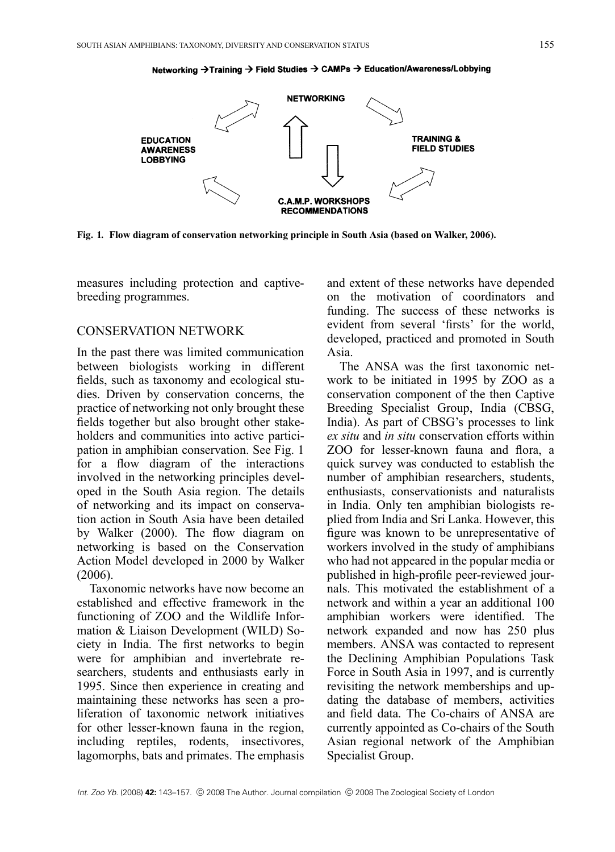Networking → Training → Field Studies → CAMPs → Education/Awareness/Lobbying



Fig. 1. Flow diagram of conservation networking principle in South Asia (based on Walker, 2006).

measures including protection and captivebreeding programmes.

## CONSERVATION NETWORK

In the past there was limited communication between biologists working in different fields, such as taxonomy and ecological studies. Driven by conservation concerns, the practice of networking not only brought these fields together but also brought other stakeholders and communities into active participation in amphibian conservation. See Fig. 1 for a flow diagram of the interactions involved in the networking principles developed in the South Asia region. The details of networking and its impact on conservation action in South Asia have been detailed by Walker (2000). The flow diagram on networking is based on the Conservation Action Model developed in 2000 by Walker (2006).

Taxonomic networks have now become an established and effective framework in the functioning of ZOO and the Wildlife Information & Liaison Development (WILD) Society in India. The first networks to begin were for amphibian and invertebrate researchers, students and enthusiasts early in 1995. Since then experience in creating and maintaining these networks has seen a proliferation of taxonomic network initiatives for other lesser-known fauna in the region, including reptiles, rodents, insectivores, lagomorphs, bats and primates. The emphasis

and extent of these networks have depended on the motivation of coordinators and funding. The success of these networks is evident from several 'firsts' for the world, developed, practiced and promoted in South Asia.

The ANSA was the first taxonomic network to be initiated in 1995 by ZOO as a conservation component of the then Captive Breeding Specialist Group, India (CBSG, India). As part of CBSG's processes to link ex situ and in situ conservation efforts within ZOO for lesser-known fauna and flora, a quick survey was conducted to establish the number of amphibian researchers, students, enthusiasts, conservationists and naturalists in India. Only ten amphibian biologists replied from India and Sri Lanka. However, this figure was known to be unrepresentative of workers involved in the study of amphibians who had not appeared in the popular media or published in high-profile peer-reviewed journals. This motivated the establishment of a network and within a year an additional 100 amphibian workers were identified. The network expanded and now has 250 plus members. ANSA was contacted to represent the Declining Amphibian Populations Task Force in South Asia in 1997, and is currently revisiting the network memberships and updating the database of members, activities and field data. The Co-chairs of ANSA are currently appointed as Co-chairs of the South Asian regional network of the Amphibian Specialist Group.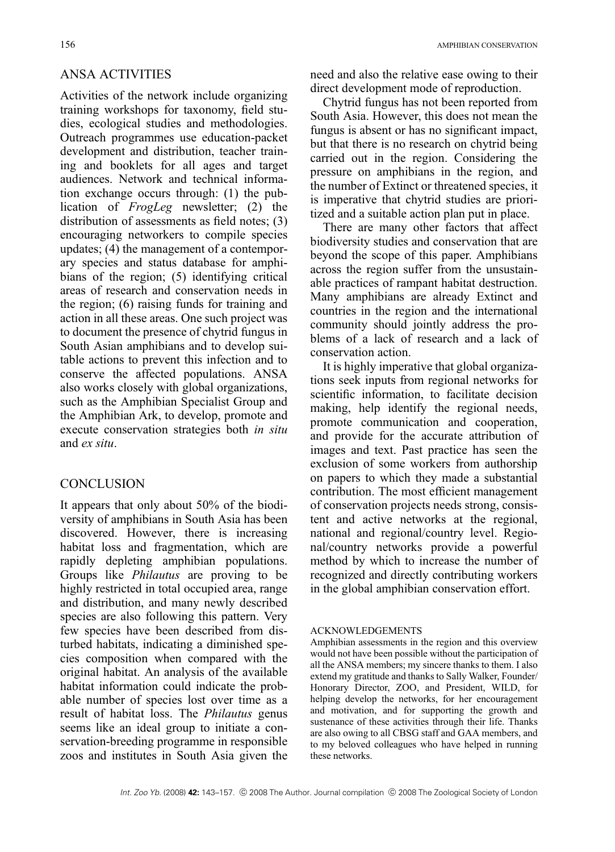### ANSA ACTIVITIES

Activities of the network include organizing training workshops for taxonomy, field studies, ecological studies and methodologies. Outreach programmes use education-packet development and distribution, teacher training and booklets for all ages and target audiences. Network and technical information exchange occurs through: (1) the publication of FrogLeg newsletter; (2) the distribution of assessments as field notes; (3) encouraging networkers to compile species updates; (4) the management of a contemporary species and status database for amphibians of the region; (5) identifying critical areas of research and conservation needs in the region; (6) raising funds for training and action in all these areas. One such project was to document the presence of chytrid fungus in South Asian amphibians and to develop suitable actions to prevent this infection and to conserve the affected populations. ANSA also works closely with global organizations, such as the Amphibian Specialist Group and the Amphibian Ark, to develop, promote and execute conservation strategies both in situ and ex situ.

## **CONCLUSION**

It appears that only about 50% of the biodiversity of amphibians in South Asia has been discovered. However, there is increasing habitat loss and fragmentation, which are rapidly depleting amphibian populations. Groups like Philautus are proving to be highly restricted in total occupied area, range and distribution, and many newly described species are also following this pattern. Very few species have been described from disturbed habitats, indicating a diminished species composition when compared with the original habitat. An analysis of the available habitat information could indicate the probable number of species lost over time as a result of habitat loss. The Philautus genus seems like an ideal group to initiate a conservation-breeding programme in responsible zoos and institutes in South Asia given the

need and also the relative ease owing to their direct development mode of reproduction.

Chytrid fungus has not been reported from South Asia. However, this does not mean the fungus is absent or has no significant impact, but that there is no research on chytrid being carried out in the region. Considering the pressure on amphibians in the region, and the number of Extinct or threatened species, it is imperative that chytrid studies are prioritized and a suitable action plan put in place.

There are many other factors that affect biodiversity studies and conservation that are beyond the scope of this paper. Amphibians across the region suffer from the unsustainable practices of rampant habitat destruction. Many amphibians are already Extinct and countries in the region and the international community should jointly address the problems of a lack of research and a lack of conservation action.

It is highly imperative that global organizations seek inputs from regional networks for scientific information, to facilitate decision making, help identify the regional needs, promote communication and cooperation, and provide for the accurate attribution of images and text. Past practice has seen the exclusion of some workers from authorship on papers to which they made a substantial contribution. The most efficient management of conservation projects needs strong, consistent and active networks at the regional, national and regional/country level. Regional/country networks provide a powerful method by which to increase the number of recognized and directly contributing workers in the global amphibian conservation effort.

#### ACKNOWLEDGEMENTS

Amphibian assessments in the region and this overview would not have been possible without the participation of all the ANSA members; my sincere thanks to them. I also extend my gratitude and thanks to Sally Walker, Founder/ Honorary Director, ZOO, and President, WILD, for helping develop the networks, for her encouragement and motivation, and for supporting the growth and sustenance of these activities through their life. Thanks are also owing to all CBSG staff and GAA members, and to my beloved colleagues who have helped in running these networks.